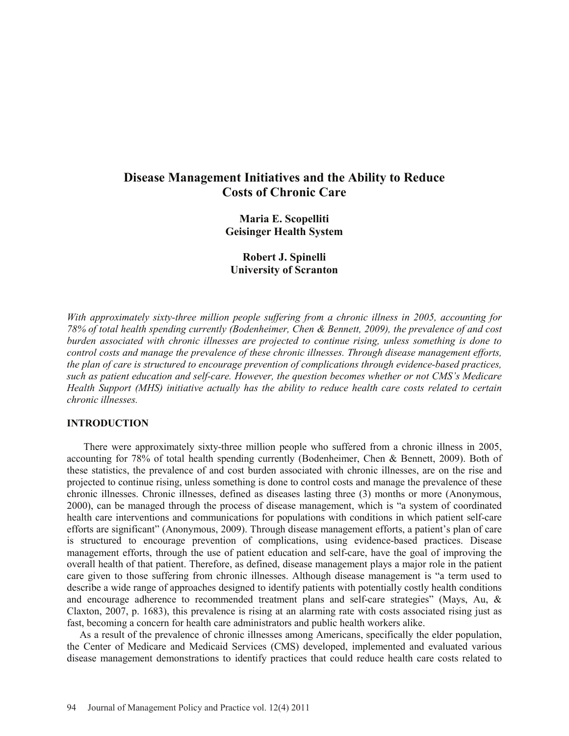# **Disease Management Initiatives and the Ability to Reduce Costs of Chronic Care**

**Maria E. Scopelliti Geisinger Health System** 

**Robert J. Spinelli University of Scranton** 

*With approximately sixty-three million people suffering from a chronic illness in 2005, accounting for 78% of total health spending currently (Bodenheimer, Chen & Bennett, 2009), the prevalence of and cost burden associated with chronic illnesses are projected to continue rising, unless something is done to control costs and manage the prevalence of these chronic illnesses. Through disease management efforts, the plan of care is structured to encourage prevention of complications through evidence-based practices, such as patient education and self-care. However, the question becomes whether or not CMS's Medicare Health Support (MHS) initiative actually has the ability to reduce health care costs related to certain chronic illnesses.* 

#### **INTRODUCTION**

 There were approximately sixty-three million people who suffered from a chronic illness in 2005, accounting for 78% of total health spending currently (Bodenheimer, Chen & Bennett, 2009). Both of these statistics, the prevalence of and cost burden associated with chronic illnesses, are on the rise and projected to continue rising, unless something is done to control costs and manage the prevalence of these chronic illnesses. Chronic illnesses, defined as diseases lasting three (3) months or more (Anonymous, 2000), can be managed through the process of disease management, which is "a system of coordinated health care interventions and communications for populations with conditions in which patient self-care efforts are significant" (Anonymous, 2009). Through disease management efforts, a patient's plan of care is structured to encourage prevention of complications, using evidence-based practices. Disease management efforts, through the use of patient education and self-care, have the goal of improving the overall health of that patient. Therefore, as defined, disease management plays a major role in the patient care given to those suffering from chronic illnesses. Although disease management is "a term used to describe a wide range of approaches designed to identify patients with potentially costly health conditions and encourage adherence to recommended treatment plans and self-care strategies" (Mays, Au, & Claxton, 2007, p. 1683), this prevalence is rising at an alarming rate with costs associated rising just as fast, becoming a concern for health care administrators and public health workers alike.

 As a result of the prevalence of chronic illnesses among Americans, specifically the elder population, the Center of Medicare and Medicaid Services (CMS) developed, implemented and evaluated various disease management demonstrations to identify practices that could reduce health care costs related to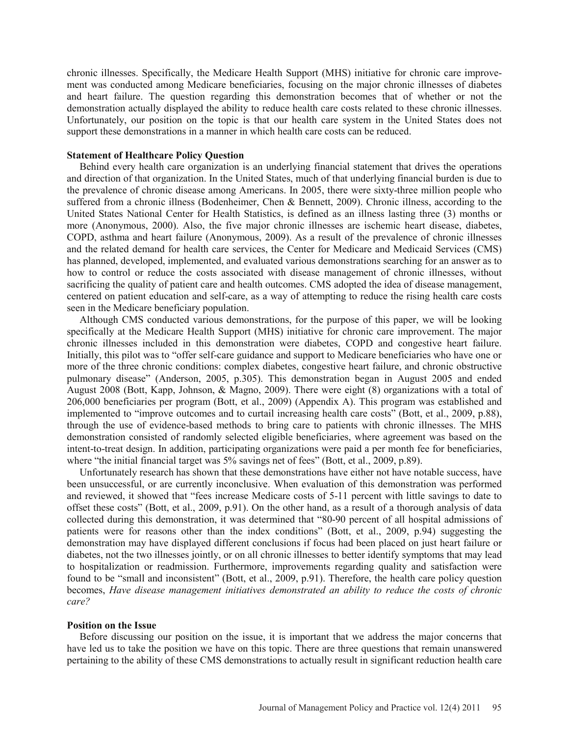chronic illnesses. Specifically, the Medicare Health Support (MHS) initiative for chronic care improvement was conducted among Medicare beneficiaries, focusing on the major chronic illnesses of diabetes and heart failure. The question regarding this demonstration becomes that of whether or not the demonstration actually displayed the ability to reduce health care costs related to these chronic illnesses. Unfortunately, our position on the topic is that our health care system in the United States does not support these demonstrations in a manner in which health care costs can be reduced.

#### **Statement of Healthcare Policy Question**

 Behind every health care organization is an underlying financial statement that drives the operations and direction of that organization. In the United States, much of that underlying financial burden is due to the prevalence of chronic disease among Americans. In 2005, there were sixty-three million people who suffered from a chronic illness (Bodenheimer, Chen & Bennett, 2009). Chronic illness, according to the United States National Center for Health Statistics, is defined as an illness lasting three (3) months or more (Anonymous, 2000). Also, the five major chronic illnesses are ischemic heart disease, diabetes, COPD, asthma and heart failure (Anonymous, 2009). As a result of the prevalence of chronic illnesses and the related demand for health care services, the Center for Medicare and Medicaid Services (CMS) has planned, developed, implemented, and evaluated various demonstrations searching for an answer as to how to control or reduce the costs associated with disease management of chronic illnesses, without sacrificing the quality of patient care and health outcomes. CMS adopted the idea of disease management, centered on patient education and self-care, as a way of attempting to reduce the rising health care costs seen in the Medicare beneficiary population.

 Although CMS conducted various demonstrations, for the purpose of this paper, we will be looking specifically at the Medicare Health Support (MHS) initiative for chronic care improvement. The major chronic illnesses included in this demonstration were diabetes, COPD and congestive heart failure. Initially, this pilot was to "offer self-care guidance and support to Medicare beneficiaries who have one or more of the three chronic conditions: complex diabetes, congestive heart failure, and chronic obstructive pulmonary disease" (Anderson, 2005, p.305). This demonstration began in August 2005 and ended August 2008 (Bott, Kapp, Johnson, & Magno, 2009). There were eight (8) organizations with a total of 206,000 beneficiaries per program (Bott, et al., 2009) (Appendix A). This program was established and implemented to "improve outcomes and to curtail increasing health care costs" (Bott, et al., 2009, p.88), through the use of evidence-based methods to bring care to patients with chronic illnesses. The MHS demonstration consisted of randomly selected eligible beneficiaries, where agreement was based on the intent-to-treat design. In addition, participating organizations were paid a per month fee for beneficiaries, where "the initial financial target was 5% savings net of fees" (Bott, et al., 2009, p.89).

 Unfortunately research has shown that these demonstrations have either not have notable success, have been unsuccessful, or are currently inconclusive. When evaluation of this demonstration was performed and reviewed, it showed that "fees increase Medicare costs of 5-11 percent with little savings to date to offset these costs" (Bott, et al., 2009, p.91). On the other hand, as a result of a thorough analysis of data collected during this demonstration, it was determined that "80-90 percent of all hospital admissions of patients were for reasons other than the index conditions" (Bott, et al., 2009, p.94) suggesting the demonstration may have displayed different conclusions if focus had been placed on just heart failure or diabetes, not the two illnesses jointly, or on all chronic illnesses to better identify symptoms that may lead to hospitalization or readmission. Furthermore, improvements regarding quality and satisfaction were found to be "small and inconsistent" (Bott, et al., 2009, p.91). Therefore, the health care policy question becomes, *Have disease management initiatives demonstrated an ability to reduce the costs of chronic care?*

#### **Position on the Issue**

 Before discussing our position on the issue, it is important that we address the major concerns that have led us to take the position we have on this topic. There are three questions that remain unanswered pertaining to the ability of these CMS demonstrations to actually result in significant reduction health care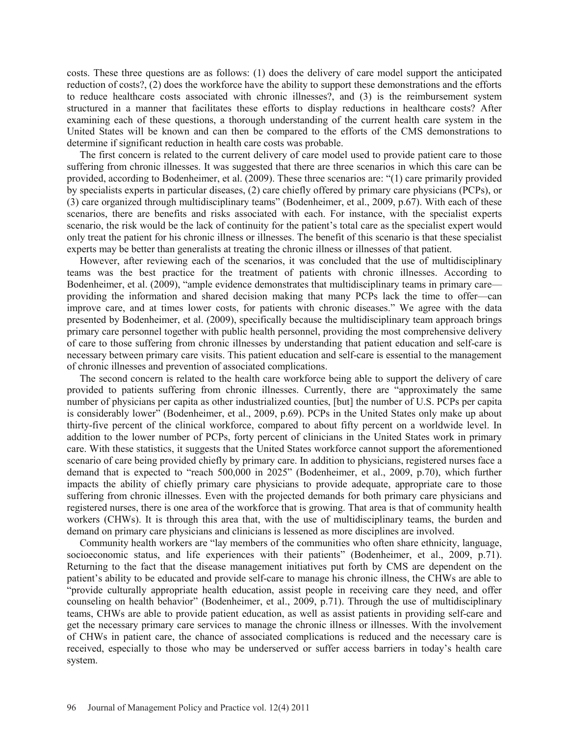costs. These three questions are as follows: (1) does the delivery of care model support the anticipated reduction of costs?, (2) does the workforce have the ability to support these demonstrations and the efforts to reduce healthcare costs associated with chronic illnesses?, and (3) is the reimbursement system structured in a manner that facilitates these efforts to display reductions in healthcare costs? After examining each of these questions, a thorough understanding of the current health care system in the United States will be known and can then be compared to the efforts of the CMS demonstrations to determine if significant reduction in health care costs was probable.

 The first concern is related to the current delivery of care model used to provide patient care to those suffering from chronic illnesses. It was suggested that there are three scenarios in which this care can be provided, according to Bodenheimer, et al. (2009). These three scenarios are: "(1) care primarily provided by specialists experts in particular diseases, (2) care chiefly offered by primary care physicians (PCPs), or (3) care organized through multidisciplinary teams" (Bodenheimer, et al., 2009, p.67). With each of these scenarios, there are benefits and risks associated with each. For instance, with the specialist experts scenario, the risk would be the lack of continuity for the patient's total care as the specialist expert would only treat the patient for his chronic illness or illnesses. The benefit of this scenario is that these specialist experts may be better than generalists at treating the chronic illness or illnesses of that patient.

 However, after reviewing each of the scenarios, it was concluded that the use of multidisciplinary teams was the best practice for the treatment of patients with chronic illnesses. According to Bodenheimer, et al. (2009), "ample evidence demonstrates that multidisciplinary teams in primary care providing the information and shared decision making that many PCPs lack the time to offer—can improve care, and at times lower costs, for patients with chronic diseases." We agree with the data presented by Bodenheimer, et al. (2009), specifically because the multidisciplinary team approach brings primary care personnel together with public health personnel, providing the most comprehensive delivery of care to those suffering from chronic illnesses by understanding that patient education and self-care is necessary between primary care visits. This patient education and self-care is essential to the management of chronic illnesses and prevention of associated complications.

 The second concern is related to the health care workforce being able to support the delivery of care provided to patients suffering from chronic illnesses. Currently, there are "approximately the same number of physicians per capita as other industrialized counties, [but] the number of U.S. PCPs per capita is considerably lower" (Bodenheimer, et al., 2009, p.69). PCPs in the United States only make up about thirty-five percent of the clinical workforce, compared to about fifty percent on a worldwide level. In addition to the lower number of PCPs, forty percent of clinicians in the United States work in primary care. With these statistics, it suggests that the United States workforce cannot support the aforementioned scenario of care being provided chiefly by primary care. In addition to physicians, registered nurses face a demand that is expected to "reach 500,000 in 2025" (Bodenheimer, et al., 2009, p.70), which further impacts the ability of chiefly primary care physicians to provide adequate, appropriate care to those suffering from chronic illnesses. Even with the projected demands for both primary care physicians and registered nurses, there is one area of the workforce that is growing. That area is that of community health workers (CHWs). It is through this area that, with the use of multidisciplinary teams, the burden and demand on primary care physicians and clinicians is lessened as more disciplines are involved.

 Community health workers are "lay members of the communities who often share ethnicity, language, socioeconomic status, and life experiences with their patients" (Bodenheimer, et al., 2009, p.71). Returning to the fact that the disease management initiatives put forth by CMS are dependent on the patient's ability to be educated and provide self-care to manage his chronic illness, the CHWs are able to "provide culturally appropriate health education, assist people in receiving care they need, and offer counseling on health behavior" (Bodenheimer, et al., 2009, p.71). Through the use of multidisciplinary teams, CHWs are able to provide patient education, as well as assist patients in providing self-care and get the necessary primary care services to manage the chronic illness or illnesses. With the involvement of CHWs in patient care, the chance of associated complications is reduced and the necessary care is received, especially to those who may be underserved or suffer access barriers in today's health care system.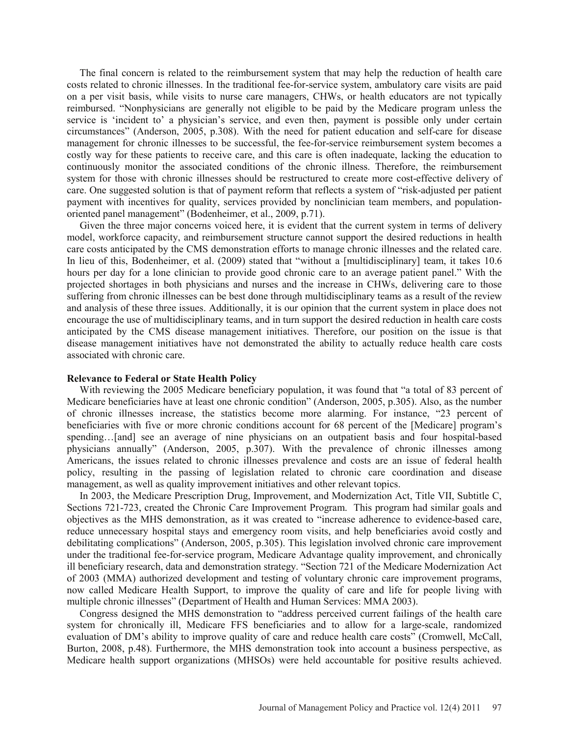The final concern is related to the reimbursement system that may help the reduction of health care costs related to chronic illnesses. In the traditional fee-for-service system, ambulatory care visits are paid on a per visit basis, while visits to nurse care managers, CHWs, or health educators are not typically reimbursed. "Nonphysicians are generally not eligible to be paid by the Medicare program unless the service is 'incident to' a physician's service, and even then, payment is possible only under certain circumstances" (Anderson, 2005, p.308). With the need for patient education and self-care for disease management for chronic illnesses to be successful, the fee-for-service reimbursement system becomes a costly way for these patients to receive care, and this care is often inadequate, lacking the education to continuously monitor the associated conditions of the chronic illness. Therefore, the reimbursement system for those with chronic illnesses should be restructured to create more cost-effective delivery of care. One suggested solution is that of payment reform that reflects a system of "risk-adjusted per patient payment with incentives for quality, services provided by nonclinician team members, and populationoriented panel management" (Bodenheimer, et al., 2009, p.71).

 Given the three major concerns voiced here, it is evident that the current system in terms of delivery model, workforce capacity, and reimbursement structure cannot support the desired reductions in health care costs anticipated by the CMS demonstration efforts to manage chronic illnesses and the related care. In lieu of this, Bodenheimer, et al. (2009) stated that "without a [multidisciplinary] team, it takes 10.6 hours per day for a lone clinician to provide good chronic care to an average patient panel." With the projected shortages in both physicians and nurses and the increase in CHWs, delivering care to those suffering from chronic illnesses can be best done through multidisciplinary teams as a result of the review and analysis of these three issues. Additionally, it is our opinion that the current system in place does not encourage the use of multidisciplinary teams, and in turn support the desired reduction in health care costs anticipated by the CMS disease management initiatives. Therefore, our position on the issue is that disease management initiatives have not demonstrated the ability to actually reduce health care costs associated with chronic care.

# **Relevance to Federal or State Health Policy**

 With reviewing the 2005 Medicare beneficiary population, it was found that "a total of 83 percent of Medicare beneficiaries have at least one chronic condition" (Anderson, 2005, p.305). Also, as the number of chronic illnesses increase, the statistics become more alarming. For instance, "23 percent of beneficiaries with five or more chronic conditions account for 68 percent of the [Medicare] program's spending…[and] see an average of nine physicians on an outpatient basis and four hospital-based physicians annually" (Anderson, 2005, p.307). With the prevalence of chronic illnesses among Americans, the issues related to chronic illnesses prevalence and costs are an issue of federal health policy, resulting in the passing of legislation related to chronic care coordination and disease management, as well as quality improvement initiatives and other relevant topics.

 In 2003, the Medicare Prescription Drug, Improvement, and Modernization Act, Title VII, Subtitle C, Sections 721-723, created the Chronic Care Improvement Program. This program had similar goals and objectives as the MHS demonstration, as it was created to "increase adherence to evidence-based care, reduce unnecessary hospital stays and emergency room visits, and help beneficiaries avoid costly and debilitating complications" (Anderson, 2005, p.305). This legislation involved chronic care improvement under the traditional fee-for-service program, Medicare Advantage quality improvement, and chronically ill beneficiary research, data and demonstration strategy. "Section 721 of the Medicare Modernization Act of 2003 (MMA) authorized development and testing of voluntary chronic care improvement programs, now called Medicare Health Support, to improve the quality of care and life for people living with multiple chronic illnesses" (Department of Health and Human Services: MMA 2003).

 Congress designed the MHS demonstration to "address perceived current failings of the health care system for chronically ill, Medicare FFS beneficiaries and to allow for a large-scale, randomized evaluation of DM's ability to improve quality of care and reduce health care costs" (Cromwell, McCall, Burton, 2008, p.48). Furthermore, the MHS demonstration took into account a business perspective, as Medicare health support organizations (MHSOs) were held accountable for positive results achieved.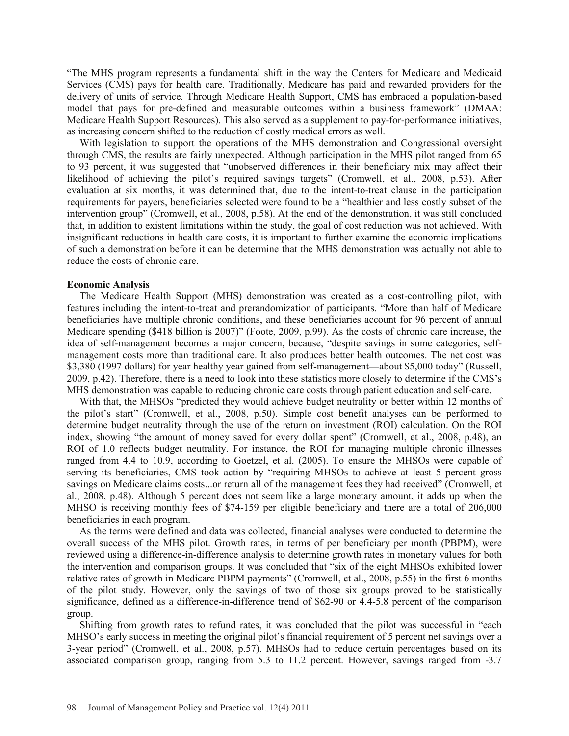"The MHS program represents a fundamental shift in the way the Centers for Medicare and Medicaid Services (CMS) pays for health care. Traditionally, Medicare has paid and rewarded providers for the delivery of units of service. Through Medicare Health Support, CMS has embraced a population-based model that pays for pre-defined and measurable outcomes within a business framework" (DMAA: Medicare Health Support Resources). This also served as a supplement to pay-for-performance initiatives, as increasing concern shifted to the reduction of costly medical errors as well.

 With legislation to support the operations of the MHS demonstration and Congressional oversight through CMS, the results are fairly unexpected. Although participation in the MHS pilot ranged from 65 to 93 percent, it was suggested that "unobserved differences in their beneficiary mix may affect their likelihood of achieving the pilot's required savings targets" (Cromwell, et al., 2008, p.53). After evaluation at six months, it was determined that, due to the intent-to-treat clause in the participation requirements for payers, beneficiaries selected were found to be a "healthier and less costly subset of the intervention group" (Cromwell, et al., 2008, p.58). At the end of the demonstration, it was still concluded that, in addition to existent limitations within the study, the goal of cost reduction was not achieved. With insignificant reductions in health care costs, it is important to further examine the economic implications of such a demonstration before it can be determine that the MHS demonstration was actually not able to reduce the costs of chronic care.

#### **Economic Analysis**

 The Medicare Health Support (MHS) demonstration was created as a cost-controlling pilot, with features including the intent-to-treat and prerandomization of participants. "More than half of Medicare beneficiaries have multiple chronic conditions, and these beneficiaries account for 96 percent of annual Medicare spending (\$418 billion is 2007)" (Foote, 2009, p.99). As the costs of chronic care increase, the idea of self-management becomes a major concern, because, "despite savings in some categories, selfmanagement costs more than traditional care. It also produces better health outcomes. The net cost was \$3,380 (1997 dollars) for year healthy year gained from self-management—about \$5,000 today" (Russell, 2009, p.42). Therefore, there is a need to look into these statistics more closely to determine if the CMS's MHS demonstration was capable to reducing chronic care costs through patient education and self-care.

 With that, the MHSOs "predicted they would achieve budget neutrality or better within 12 months of the pilot's start" (Cromwell, et al., 2008, p.50). Simple cost benefit analyses can be performed to determine budget neutrality through the use of the return on investment (ROI) calculation. On the ROI index, showing "the amount of money saved for every dollar spent" (Cromwell, et al., 2008, p.48), an ROI of 1.0 reflects budget neutrality. For instance, the ROI for managing multiple chronic illnesses ranged from 4.4 to 10.9, according to Goetzel, et al. (2005). To ensure the MHSOs were capable of serving its beneficiaries, CMS took action by "requiring MHSOs to achieve at least 5 percent gross savings on Medicare claims costs...or return all of the management fees they had received" (Cromwell, et al., 2008, p.48). Although 5 percent does not seem like a large monetary amount, it adds up when the MHSO is receiving monthly fees of \$74-159 per eligible beneficiary and there are a total of 206,000 beneficiaries in each program.

 As the terms were defined and data was collected, financial analyses were conducted to determine the overall success of the MHS pilot. Growth rates, in terms of per beneficiary per month (PBPM), were reviewed using a difference-in-difference analysis to determine growth rates in monetary values for both the intervention and comparison groups. It was concluded that "six of the eight MHSOs exhibited lower relative rates of growth in Medicare PBPM payments" (Cromwell, et al., 2008, p.55) in the first 6 months of the pilot study. However, only the savings of two of those six groups proved to be statistically significance, defined as a difference-in-difference trend of \$62-90 or 4.4-5.8 percent of the comparison group.

 Shifting from growth rates to refund rates, it was concluded that the pilot was successful in "each MHSO's early success in meeting the original pilot's financial requirement of 5 percent net savings over a 3-year period" (Cromwell, et al., 2008, p.57). MHSOs had to reduce certain percentages based on its associated comparison group, ranging from 5.3 to 11.2 percent. However, savings ranged from -3.7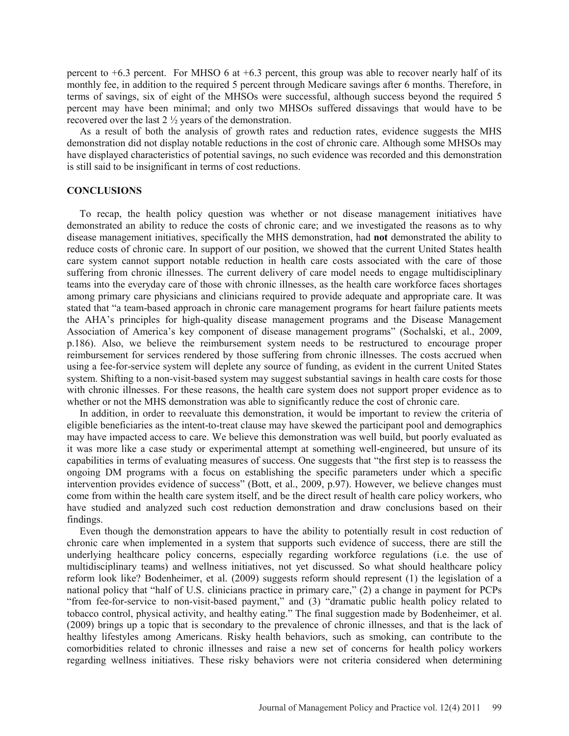percent to  $+6.3$  percent. For MHSO 6 at  $+6.3$  percent, this group was able to recover nearly half of its monthly fee, in addition to the required 5 percent through Medicare savings after 6 months. Therefore, in terms of savings, six of eight of the MHSOs were successful, although success beyond the required 5 percent may have been minimal; and only two MHSOs suffered dissavings that would have to be recovered over the last 2 ½ years of the demonstration.

 As a result of both the analysis of growth rates and reduction rates, evidence suggests the MHS demonstration did not display notable reductions in the cost of chronic care. Although some MHSOs may have displayed characteristics of potential savings, no such evidence was recorded and this demonstration is still said to be insignificant in terms of cost reductions.

# **CONCLUSIONS**

 To recap, the health policy question was whether or not disease management initiatives have demonstrated an ability to reduce the costs of chronic care; and we investigated the reasons as to why disease management initiatives, specifically the MHS demonstration, had **not** demonstrated the ability to reduce costs of chronic care. In support of our position, we showed that the current United States health care system cannot support notable reduction in health care costs associated with the care of those suffering from chronic illnesses. The current delivery of care model needs to engage multidisciplinary teams into the everyday care of those with chronic illnesses, as the health care workforce faces shortages among primary care physicians and clinicians required to provide adequate and appropriate care. It was stated that "a team-based approach in chronic care management programs for heart failure patients meets the AHA's principles for high-quality disease management programs and the Disease Management Association of America's key component of disease management programs" (Sochalski, et al., 2009, p.186). Also, we believe the reimbursement system needs to be restructured to encourage proper reimbursement for services rendered by those suffering from chronic illnesses. The costs accrued when using a fee-for-service system will deplete any source of funding, as evident in the current United States system. Shifting to a non-visit-based system may suggest substantial savings in health care costs for those with chronic illnesses. For these reasons, the health care system does not support proper evidence as to whether or not the MHS demonstration was able to significantly reduce the cost of chronic care.

 In addition, in order to reevaluate this demonstration, it would be important to review the criteria of eligible beneficiaries as the intent-to-treat clause may have skewed the participant pool and demographics may have impacted access to care. We believe this demonstration was well build, but poorly evaluated as it was more like a case study or experimental attempt at something well-engineered, but unsure of its capabilities in terms of evaluating measures of success. One suggests that "the first step is to reassess the ongoing DM programs with a focus on establishing the specific parameters under which a specific intervention provides evidence of success" (Bott, et al., 2009, p.97). However, we believe changes must come from within the health care system itself, and be the direct result of health care policy workers, who have studied and analyzed such cost reduction demonstration and draw conclusions based on their findings.

 Even though the demonstration appears to have the ability to potentially result in cost reduction of chronic care when implemented in a system that supports such evidence of success, there are still the underlying healthcare policy concerns, especially regarding workforce regulations (i.e. the use of multidisciplinary teams) and wellness initiatives, not yet discussed. So what should healthcare policy reform look like? Bodenheimer, et al. (2009) suggests reform should represent (1) the legislation of a national policy that "half of U.S. clinicians practice in primary care," (2) a change in payment for PCPs "from fee-for-service to non-visit-based payment," and (3) "dramatic public health policy related to tobacco control, physical activity, and healthy eating." The final suggestion made by Bodenheimer, et al. (2009) brings up a topic that is secondary to the prevalence of chronic illnesses, and that is the lack of healthy lifestyles among Americans. Risky health behaviors, such as smoking, can contribute to the comorbidities related to chronic illnesses and raise a new set of concerns for health policy workers regarding wellness initiatives. These risky behaviors were not criteria considered when determining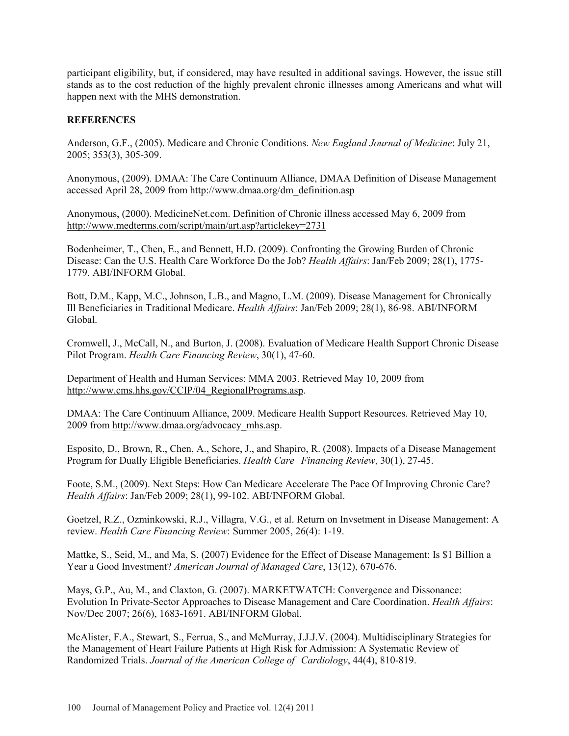participant eligibility, but, if considered, may have resulted in additional savings. However, the issue still stands as to the cost reduction of the highly prevalent chronic illnesses among Americans and what will happen next with the MHS demonstration.

# **REFERENCES**

Anderson, G.F., (2005). Medicare and Chronic Conditions. *New England Journal of Medicine*: July 21, 2005; 353(3), 305-309.

Anonymous, (2009). DMAA: The Care Continuum Alliance, DMAA Definition of Disease Management accessed April 28, 2009 from http://www.dmaa.org/dm\_definition.asp

Anonymous, (2000). MedicineNet.com. Definition of Chronic illness accessed May 6, 2009 from http://www.medterms.com/script/main/art.asp?articlekey=2731

Bodenheimer, T., Chen, E., and Bennett, H.D. (2009). Confronting the Growing Burden of Chronic Disease: Can the U.S. Health Care Workforce Do the Job? *Health Affairs*: Jan/Feb 2009; 28(1), 1775- 1779. ABI/INFORM Global.

Bott, D.M., Kapp, M.C., Johnson, L.B., and Magno, L.M. (2009). Disease Management for Chronically Ill Beneficiaries in Traditional Medicare. *Health Affairs*: Jan/Feb 2009; 28(1), 86-98. ABI/INFORM Global.

Cromwell, J., McCall, N., and Burton, J. (2008). Evaluation of Medicare Health Support Chronic Disease Pilot Program. *Health Care Financing Review*, 30(1), 47-60.

Department of Health and Human Services: MMA 2003. Retrieved May 10, 2009 from http://www.cms.hhs.gov/CCIP/04\_RegionalPrograms.asp.

DMAA: The Care Continuum Alliance, 2009. Medicare Health Support Resources. Retrieved May 10, 2009 from http://www.dmaa.org/advocacy\_mhs.asp.

Esposito, D., Brown, R., Chen, A., Schore, J., and Shapiro, R. (2008). Impacts of a Disease Management Program for Dually Eligible Beneficiaries. *Health Care Financing Review*, 30(1), 27-45.

Foote, S.M., (2009). Next Steps: How Can Medicare Accelerate The Pace Of Improving Chronic Care? *Health Affairs*: Jan/Feb 2009; 28(1), 99-102. ABI/INFORM Global.

Goetzel, R.Z., Ozminkowski, R.J., Villagra, V.G., et al. Return on Invsetment in Disease Management: A review. *Health Care Financing Review*: Summer 2005, 26(4): 1-19.

Mattke, S., Seid, M., and Ma, S. (2007) Evidence for the Effect of Disease Management: Is \$1 Billion a Year a Good Investment? *American Journal of Managed Care*, 13(12), 670-676.

Mays, G.P., Au, M., and Claxton, G. (2007). MARKETWATCH: Convergence and Dissonance: Evolution In Private-Sector Approaches to Disease Management and Care Coordination. *Health Affairs*: Nov/Dec 2007; 26(6), 1683-1691. ABI/INFORM Global.

McAlister, F.A., Stewart, S., Ferrua, S., and McMurray, J.J.J.V. (2004). Multidisciplinary Strategies for the Management of Heart Failure Patients at High Risk for Admission: A Systematic Review of Randomized Trials. *Journal of the American College of Cardiology*, 44(4), 810-819.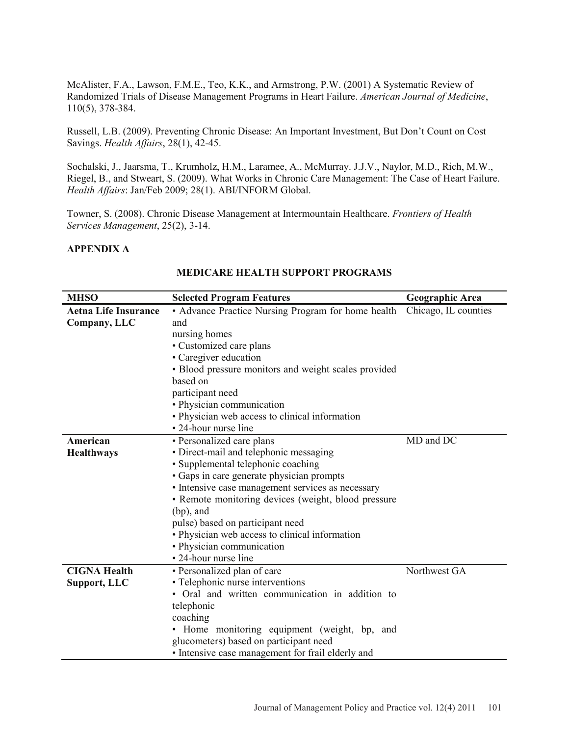McAlister, F.A., Lawson, F.M.E., Teo, K.K., and Armstrong, P.W. (2001) A Systematic Review of Randomized Trials of Disease Management Programs in Heart Failure. *American Journal of Medicine*, 110(5), 378-384.

Russell, L.B. (2009). Preventing Chronic Disease: An Important Investment, But Don't Count on Cost Savings. *Health Affairs*, 28(1), 42-45.

Sochalski, J., Jaarsma, T., Krumholz, H.M., Laramee, A., McMurray. J.J.V., Naylor, M.D., Rich, M.W., Riegel, B., and Stweart, S. (2009). What Works in Chronic Care Management: The Case of Heart Failure. *Health Affairs*: Jan/Feb 2009; 28(1). ABI/INFORM Global.

Towner, S. (2008). Chronic Disease Management at Intermountain Healthcare. *Frontiers of Health Services Management*, 25(2), 3-14.

# **APPENDIX A**

| <b>MHSO</b>                                 | <b>Selected Program Features</b>                                                                                                                                                                                                                                                                                                                                                                                                                      | Geographic Area      |
|---------------------------------------------|-------------------------------------------------------------------------------------------------------------------------------------------------------------------------------------------------------------------------------------------------------------------------------------------------------------------------------------------------------------------------------------------------------------------------------------------------------|----------------------|
| <b>Aetna Life Insurance</b><br>Company, LLC | • Advance Practice Nursing Program for home health<br>and<br>nursing homes<br>• Customized care plans<br>• Caregiver education<br>· Blood pressure monitors and weight scales provided<br>based on<br>participant need<br>• Physician communication<br>• Physician web access to clinical information                                                                                                                                                 | Chicago, IL counties |
| American<br><b>Healthways</b>               | • 24-hour nurse line<br>• Personalized care plans<br>· Direct-mail and telephonic messaging<br>• Supplemental telephonic coaching<br>• Gaps in care generate physician prompts<br>• Intensive case management services as necessary<br>• Remote monitoring devices (weight, blood pressure<br>$(bp)$ , and<br>pulse) based on participant need<br>• Physician web access to clinical information<br>• Physician communication<br>• 24-hour nurse line | MD and DC            |
| <b>CIGNA Health</b><br>Support, LLC         | • Personalized plan of care<br>• Telephonic nurse interventions<br>• Oral and written communication in addition to<br>telephonic<br>coaching<br>• Home monitoring equipment (weight, bp, and<br>glucometers) based on participant need<br>• Intensive case management for frail elderly and                                                                                                                                                           | Northwest GA         |

### **MEDICARE HEALTH SUPPORT PROGRAMS**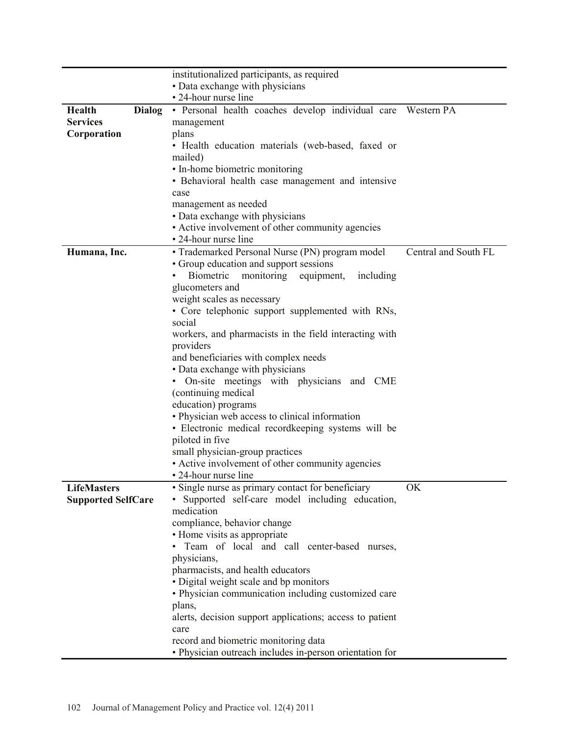|                           | institutionalized participants, as required                             |                      |
|---------------------------|-------------------------------------------------------------------------|----------------------|
|                           | • Data exchange with physicians                                         |                      |
|                           | • 24-hour nurse line                                                    |                      |
| Health<br><b>Dialog</b>   | · Personal health coaches develop individual care Western PA            |                      |
| <b>Services</b>           | management                                                              |                      |
| Corporation               | plans                                                                   |                      |
|                           | • Health education materials (web-based, faxed or                       |                      |
|                           | mailed)                                                                 |                      |
|                           | • In-home biometric monitoring                                          |                      |
|                           | • Behavioral health case management and intensive                       |                      |
|                           | case                                                                    |                      |
|                           | management as needed                                                    |                      |
|                           | • Data exchange with physicians                                         |                      |
|                           | • Active involvement of other community agencies                        |                      |
|                           | • 24-hour nurse line                                                    |                      |
| Humana, Inc.              | • Trademarked Personal Nurse (PN) program model                         | Central and South FL |
|                           | • Group education and support sessions                                  |                      |
|                           | Biometric<br>monitoring<br>equipment,<br>including                      |                      |
|                           | glucometers and                                                         |                      |
|                           | weight scales as necessary                                              |                      |
|                           | • Core telephonic support supplemented with RNs,                        |                      |
|                           | social                                                                  |                      |
|                           | workers, and pharmacists in the field interacting with                  |                      |
|                           | providers                                                               |                      |
|                           | and beneficiaries with complex needs<br>• Data exchange with physicians |                      |
|                           | On-site meetings with physicians and CME                                |                      |
|                           | (continuing medical                                                     |                      |
|                           | education) programs                                                     |                      |
|                           | • Physician web access to clinical information                          |                      |
|                           | • Electronic medical recordkeeping systems will be                      |                      |
|                           | piloted in five                                                         |                      |
|                           | small physician-group practices                                         |                      |
|                           | • Active involvement of other community agencies                        |                      |
|                           | • 24-hour nurse line                                                    |                      |
| <b>LifeMasters</b>        | · Single nurse as primary contact for beneficiary                       | <b>OK</b>            |
| <b>Supported SelfCare</b> | • Supported self-care model including education,                        |                      |
|                           | medication                                                              |                      |
|                           | compliance, behavior change                                             |                      |
|                           | • Home visits as appropriate                                            |                      |
|                           | · Team of local and call center-based nurses,                           |                      |
|                           | physicians,                                                             |                      |
|                           | pharmacists, and health educators                                       |                      |
|                           | • Digital weight scale and bp monitors                                  |                      |
|                           | • Physician communication including customized care                     |                      |
|                           | plans,                                                                  |                      |
|                           | alerts, decision support applications; access to patient                |                      |
|                           | care                                                                    |                      |
|                           | record and biometric monitoring data                                    |                      |
|                           | • Physician outreach includes in-person orientation for                 |                      |